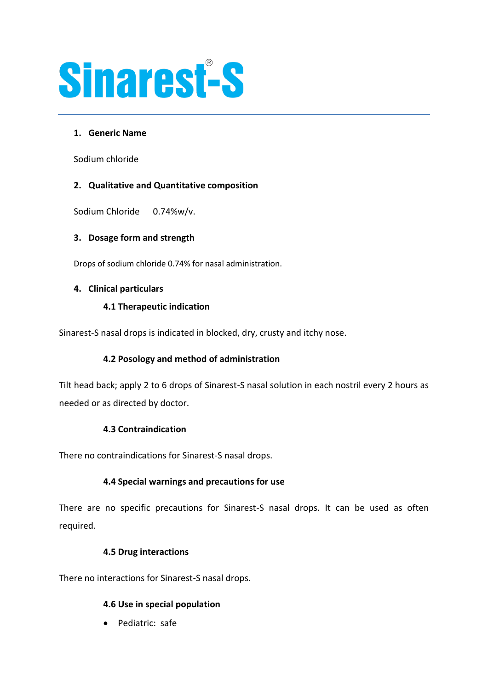

## **1. Generic Name**

Sodium chloride

## **2. Qualitative and Quantitative composition**

Sodium Chloride 0.74%w/v.

## **3. Dosage form and strength**

Drops of sodium chloride 0.74% for nasal administration.

#### **4. Clinical particulars**

## **4.1 Therapeutic indication**

Sinarest-S nasal drops is indicated in blocked, dry, crusty and itchy nose.

## **4.2 Posology and method of administration**

Tilt head back; apply 2 to 6 drops of Sinarest-S nasal solution in each nostril every 2 hours as needed or as directed by doctor.

#### **4.3 Contraindication**

There no contraindications for Sinarest-S nasal drops.

#### **4.4 Special warnings and precautions for use**

There are no specific precautions for Sinarest-S nasal drops. It can be used as often required.

#### **4.5 Drug interactions**

There no interactions for Sinarest-S nasal drops.

#### **4.6 Use in special population**

• Pediatric: safe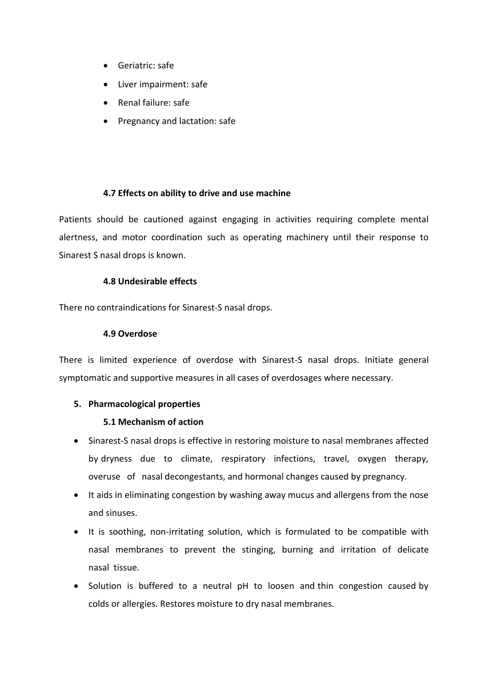- Geriatric: safe
- Liver impairment: safe
- Renal failure: safe
- Pregnancy and lactation: safe

## **4.7 Effects on ability to drive and use machine**

Patients should be cautioned against engaging in activities requiring complete mental alertness, and motor coordination such as operating machinery until their response to Sinarest S nasal drops is known.

#### **4.8 Undesirable effects**

There no contraindications for Sinarest-S nasal drops.

#### **4.9 Overdose**

There is limited experience of overdose with Sinarest-S nasal drops. Initiate general symptomatic and supportive measures in all cases of overdosages where necessary.

#### **5. Pharmacological properties**

#### **5.1 Mechanism of action**

- Sinarest-S nasal drops is effective in restoring moisture to nasal membranes affected by dryness due to climate, respiratory infections, travel, oxygen therapy, overuse of nasal decongestants, and hormonal changes caused by pregnancy.
- It aids in eliminating congestion by washing away mucus and allergens from the nose and sinuses.
- It is soothing, non-irritating solution, which is formulated to be compatible with nasal membranes to prevent the stinging, burning and irritation of delicate nasal tissue.
- Solution is buffered to a neutral pH to loosen and thin congestion caused by colds or allergies. Restores moisture to dry nasal membranes.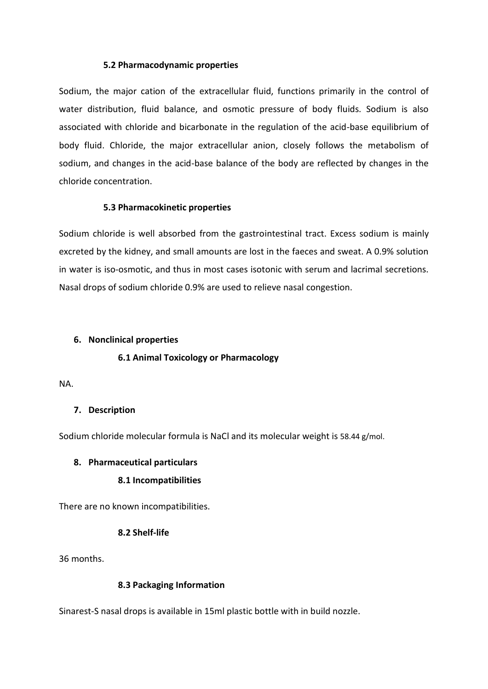#### **5.2 Pharmacodynamic properties**

Sodium, the major cation of the extracellular fluid, functions primarily in the control of water distribution, fluid balance, and osmotic pressure of body fluids. Sodium is also associated with chloride and bicarbonate in the regulation of the acid-base equilibrium of body fluid. Chloride, the major extracellular anion, closely follows the metabolism of sodium, and changes in the acid-base balance of the body are reflected by changes in the chloride concentration.

## **5.3 Pharmacokinetic properties**

Sodium chloride is well absorbed from the gastrointestinal tract. Excess sodium is mainly excreted by the kidney, and small amounts are lost in the faeces and sweat. A 0.9% solution in water is iso-osmotic, and thus in most cases isotonic with serum and lacrimal secretions. Nasal drops of sodium chloride 0.9% are used to relieve nasal congestion.

#### **6. Nonclinical properties**

## **6.1 Animal Toxicology or Pharmacology**

NA.

## **7. Description**

Sodium chloride molecular formula is NaCl and its molecular weight is 58.44 g/mol.

#### **8. Pharmaceutical particulars**

#### **8.1 Incompatibilities**

There are no known incompatibilities.

## **8.2 Shelf-life**

36 months.

## **8.3 Packaging Information**

Sinarest-S nasal drops is available in 15ml plastic bottle with in build nozzle.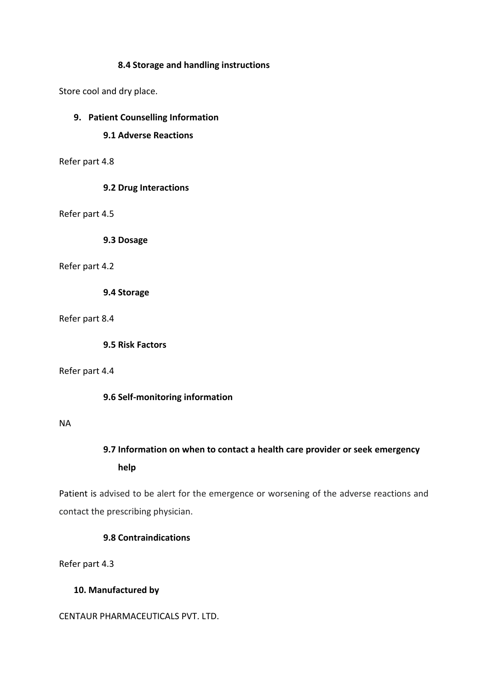#### **8.4 Storage and handling instructions**

Store cool and dry place.

## **9. Patient Counselling Information**

## **9.1 Adverse Reactions**

Refer part 4.8

#### **9.2 Drug Interactions**

Refer part 4.5

**9.3 Dosage**

#### Refer part 4.2

**9.4 Storage**

Refer part 8.4

**9.5 Risk Factors**

#### Refer part 4.4

#### **9.6 Self-monitoring information**

#### NA

# **9.7 Information on when to contact a health care provider or seek emergency help**

Patient is advised to be alert for the emergence or worsening of the adverse reactions and contact the prescribing physician.

## **9.8 Contraindications**

Refer part 4.3

#### **10. Manufactured by**

CENTAUR PHARMACEUTICALS PVT. LTD.